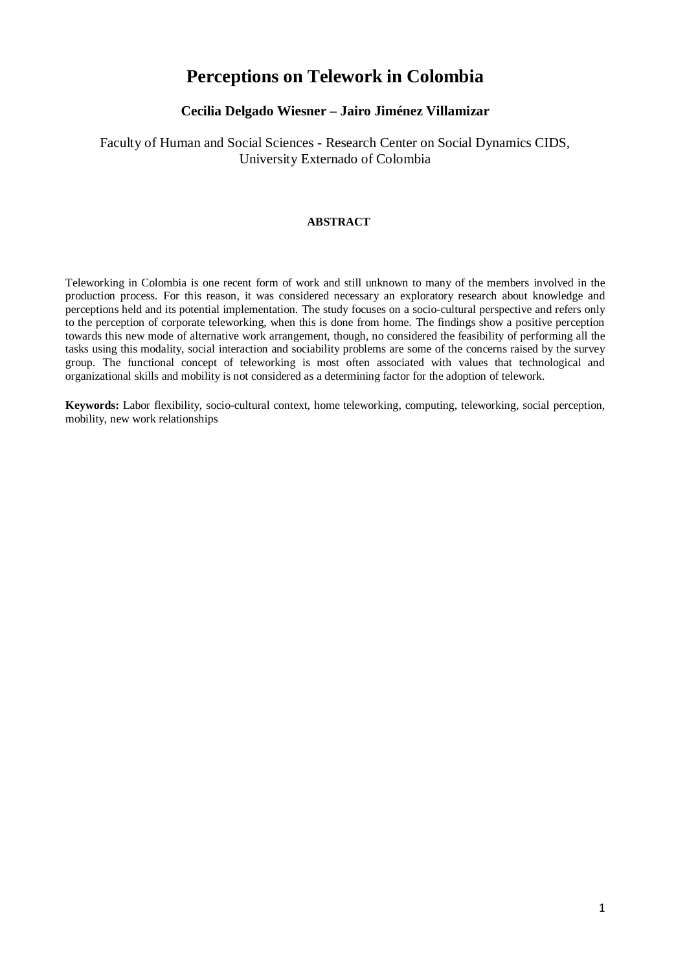# **Perceptions on Telework in Colombia**

# **Cecilia Delgado Wiesner – Jairo Jiménez Villamizar**

# Faculty of Human and Social Sciences - Research Center on Social Dynamics CIDS, University Externado of Colombia

## **ABSTRACT**

Teleworking in Colombia is one recent form of work and still unknown to many of the members involved in the production process. For this reason, it was considered necessary an exploratory research about knowledge and perceptions held and its potential implementation. The study focuses on a socio-cultural perspective and refers only to the perception of corporate teleworking, when this is done from home. The findings show a positive perception towards this new mode of alternative work arrangement, though, no considered the feasibility of performing all the tasks using this modality, social interaction and sociability problems are some of the concerns raised by the survey group. The functional concept of teleworking is most often associated with values that technological and organizational skills and mobility is not considered as a determining factor for the adoption of telework.

**Keywords:** Labor flexibility, socio-cultural context, home teleworking, computing, teleworking, social perception, mobility, new work relationships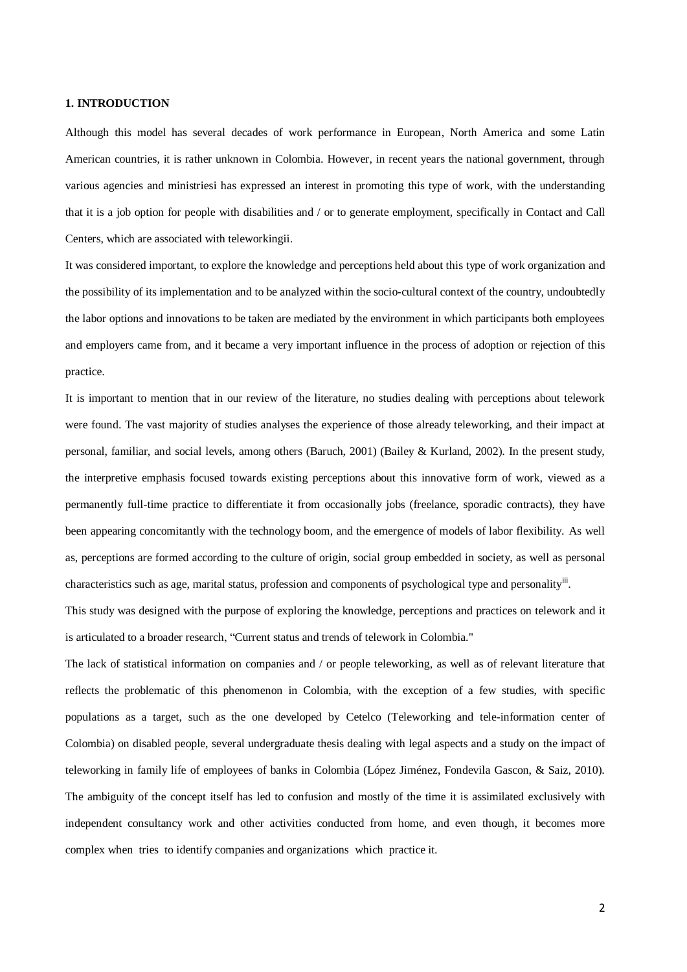#### **1. INTRODUCTION**

Although this model has several decades of work performance in European, North America and some Latin American countries, it is rather unknown in Colombia. However, in recent years the national government, through various agencies and ministriesi has expressed an interest in promoting this type of work, with the understanding that it is a job option for people with disabilities and / or to generate employment, specifically in Contact and Call Centers, which are associated with teleworkingii.

It was considered important, to explore the knowledge and perceptions held about this type of work organization and the possibility of its implementation and to be analyzed within the socio-cultural context of the country, undoubtedly the labor options and innovations to be taken are mediated by the environment in which participants both employees and employers came from, and it became a very important influence in the process of adoption or rejection of this practice.

It is important to mention that in our review of the literature, no studies dealing with perceptions about telework were found. The vast majority of studies analyses the experience of those already teleworking, and their impact at personal, familiar, and social levels, among others (Baruch, 2001) (Bailey & Kurland, 2002). In the present study, the interpretive emphasis focused towards existing perceptions about this innovative form of work, viewed as a permanently full-time practice to differentiate it from occasionally jobs (freelance, sporadic contracts), they have been appearing concomitantly with the technology boom, and the emergence of models of labor flexibility. As well as, perceptions are formed according to the culture of origin, social group embedded in society, as well as personal characteristics such as age, marital status, profession and components of psychological type and personality<sup>iii</sup>.

This study was designed with the purpose of exploring the knowledge, perceptions and practices on telework and it is articulated to a broader research, "Current status and trends of telework in Colombia."

The lack of statistical information on companies and / or people teleworking, as well as of relevant literature that reflects the problematic of this phenomenon in Colombia, with the exception of a few studies, with specific populations as a target, such as the one developed by Cetelco (Teleworking and tele-information center of Colombia) on disabled people, several undergraduate thesis dealing with legal aspects and a study on the impact of teleworking in family life of employees of banks in Colombia (López Jiménez, Fondevila Gascon, & Saiz, 2010). The ambiguity of the concept itself has led to confusion and mostly of the time it is assimilated exclusively with independent consultancy work and other activities conducted from home, and even though, it becomes more complex when tries to identify companies and organizations which practice it.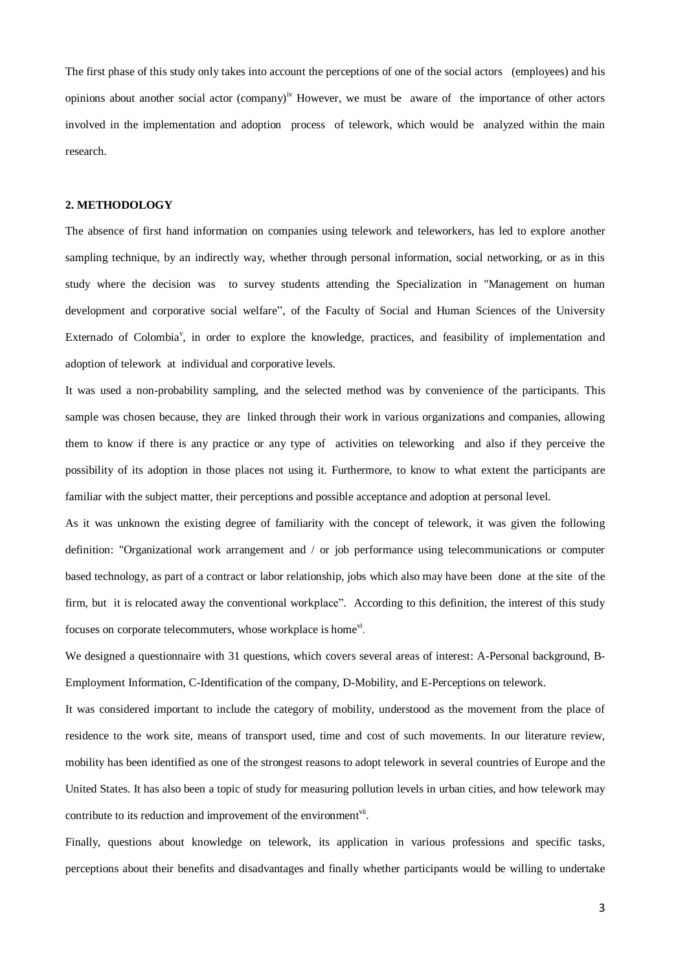The first phase of this study only takes into account the perceptions of one of the social actors (employees) and his opinions about another social actor (company)<sup>iv</sup> However, we must be aware of the importance of other actors involved in the implementation and adoption process of telework, which would be analyzed within the main research.

#### **2. METHODOLOGY**

The absence of first hand information on companies using telework and teleworkers, has led to explore another sampling technique, by an indirectly way, whether through personal information, social networking, or as in this study where the decision was to survey students attending the Specialization in "Management on human development and corporative social welfare", of the Faculty of Social and Human Sciences of the University Externado of Colombia<sup>v</sup>, in order to explore the knowledge, practices, and feasibility of implementation and adoption of telework at individual and corporative levels.

It was used a non-probability sampling, and the selected method was by convenience of the participants. This sample was chosen because, they are linked through their work in various organizations and companies, allowing them to know if there is any practice or any type of activities on teleworking and also if they perceive the possibility of its adoption in those places not using it. Furthermore, to know to what extent the participants are familiar with the subject matter, their perceptions and possible acceptance and adoption at personal level.

As it was unknown the existing degree of familiarity with the concept of telework, it was given the following definition: "Organizational work arrangement and / or job performance using telecommunications or computer based technology, as part of a contract or labor relationship, jobs which also may have been done at the site of the firm, but it is relocated away the conventional workplace". According to this definition, the interest of this study focuses on corporate telecommuters, whose workplace is home<sup>vi</sup>.

We designed a questionnaire with 31 questions, which covers several areas of interest: A-Personal background, B-Employment Information, C-Identification of the company, D-Mobility, and E-Perceptions on telework.

It was considered important to include the category of mobility, understood as the movement from the place of residence to the work site, means of transport used, time and cost of such movements. In our literature review, mobility has been identified as one of the strongest reasons to adopt telework in several countries of Europe and the United States. It has also been a topic of study for measuring pollution levels in urban cities, and how telework may contribute to its reduction and improvement of the environment<sup>vii</sup>.

Finally, questions about knowledge on telework, its application in various professions and specific tasks, perceptions about their benefits and disadvantages and finally whether participants would be willing to undertake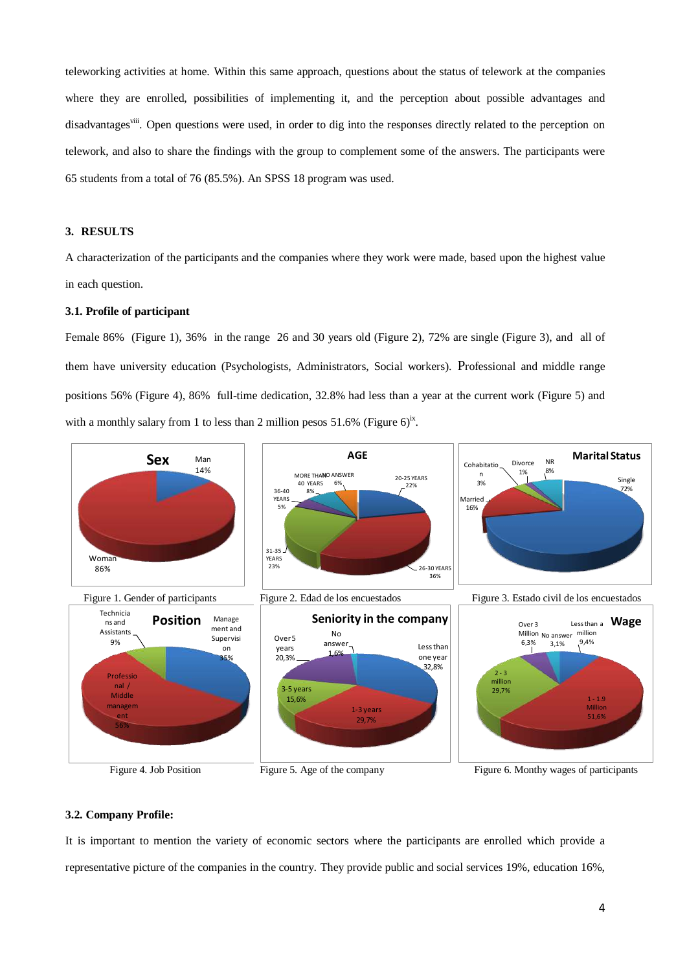teleworking activities at home. Within this same approach, questions about the status of telework at the companies where they are enrolled, possibilities of implementing it, and the perception about possible advantages and disadvantages<sup>viii</sup>. Open questions were used, in order to dig into the responses directly related to the perception on telework, and also to share the findings with the group to complement some of the answers. The participants were 65 students from a total of 76 (85.5%). An SPSS 18 program was used.

#### **3. RESULTS**

A characterization of the participants and the companies where they work were made, based upon the highest value in each question.

#### **3.1. Profile of participant**

Female 86% (Figure 1), 36% in the range 26 and 30 years old (Figure 2), 72% are single (Figure 3), and all of them have university education (Psychologists, Administrators, Social workers). Professional and middle range positions 56% (Figure 4), 86% full-time dedication, 32.8% had less than a year at the current work (Figure 5) and with a monthly salary from 1 to less than 2 million pesos  $51.6\%$  (Figure 6)<sup>ix</sup>.



#### **3.2. Company Profile:**

It is important to mention the variety of economic sectors where the participants are enrolled which provide a representative picture of the companies in the country. They provide public and social services 19%, education 16%,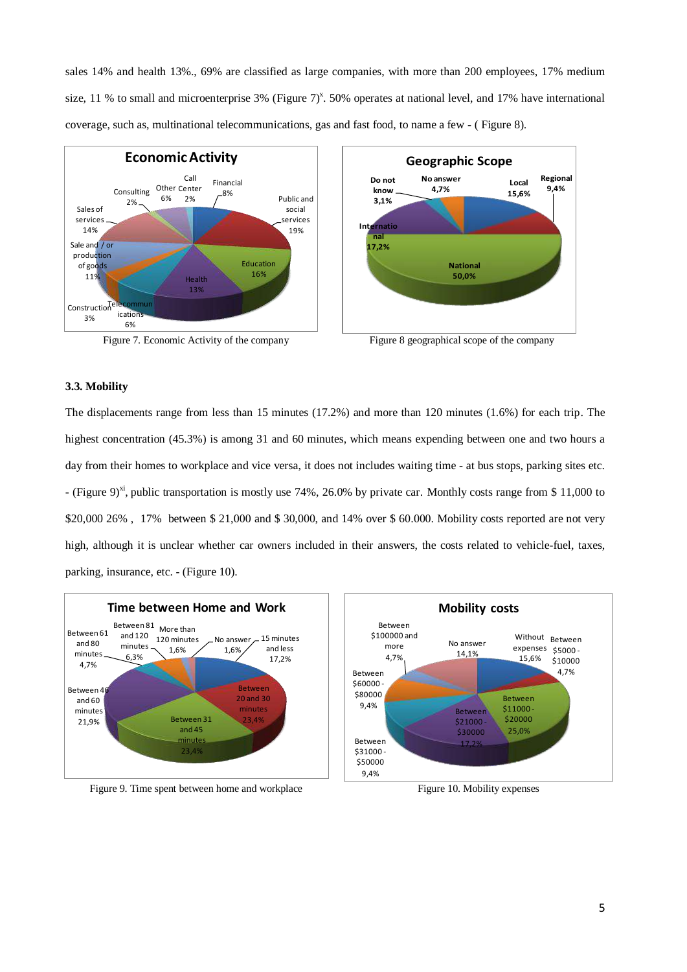sales 14% and health 13%., 69% are classified as large companies, with more than 200 employees, 17% medium size, 11 % to small and microenterprise 3% (Figure  $7^{\text{x}}$ . 50% operates at national level, and 17% have international coverage, such as, multinational telecommunications, gas and fast food, to name a few - ( Figure 8).





#### **3.3. Mobility**

The displacements range from less than 15 minutes (17.2%) and more than 120 minutes (1.6%) for each trip. The highest concentration (45.3%) is among 31 and 60 minutes, which means expending between one and two hours a day from their homes to workplace and vice versa, it does not includes waiting time - at bus stops, parking sites etc. - (Figure 9)<sup>xi</sup>, public transportation is mostly use 74%, 26.0% by private car. Monthly costs range from \$ 11,000 to \$20,000 26%, 17% between \$ 21,000 and \$ 30,000, and 14% over \$ 60.000. Mobility costs reported are not very high, although it is unclear whether car owners included in their answers, the costs related to vehicle-fuel, taxes, parking, insurance, etc. - (Figure 10).



Figure 9. Time spent between home and workplace Figure 10. Mobility expenses

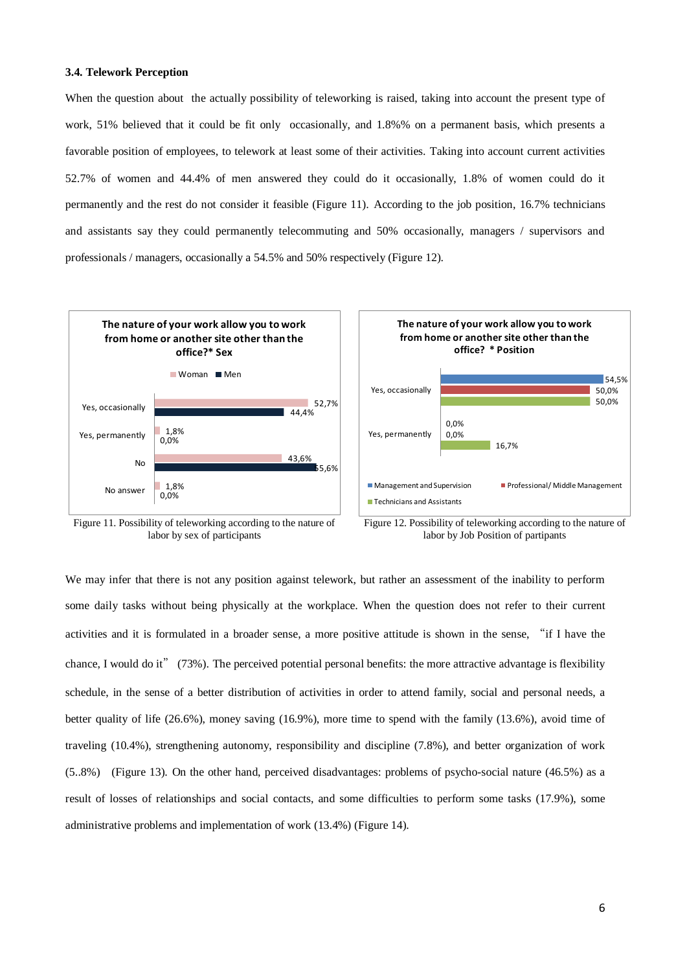#### **3.4. Telework Perception**

When the question about the actually possibility of teleworking is raised, taking into account the present type of work, 51% believed that it could be fit only occasionally, and 1.8%% on a permanent basis, which presents a favorable position of employees, to telework at least some of their activities. Taking into account current activities 52.7% of women and 44.4% of men answered they could do it occasionally, 1.8% of women could do it permanently and the rest do not consider it feasible (Figure 11). According to the job position, 16.7% technicians and assistants say they could permanently telecommuting and 50% occasionally, managers / supervisors and professionals / managers, occasionally a 54.5% and 50% respectively (Figure 12).







Figure 12. Possibility of teleworking according to the nature of labor by Job Position of partipants

We may infer that there is not any position against telework, but rather an assessment of the inability to perform some daily tasks without being physically at the workplace. When the question does not refer to their current activities and it is formulated in a broader sense, a more positive attitude is shown in the sense, "if I have the chance, I would do it" (73%). The perceived potential personal benefits: the more attractive advantage is flexibility schedule, in the sense of a better distribution of activities in order to attend family, social and personal needs, a better quality of life (26.6%), money saving (16.9%), more time to spend with the family (13.6%), avoid time of traveling (10.4%), strengthening autonomy, responsibility and discipline (7.8%), and better organization of work (5..8%) (Figure 13). On the other hand, perceived disadvantages: problems of psycho-social nature (46.5%) as a result of losses of relationships and social contacts, and some difficulties to perform some tasks (17.9%), some administrative problems and implementation of work (13.4%) (Figure 14).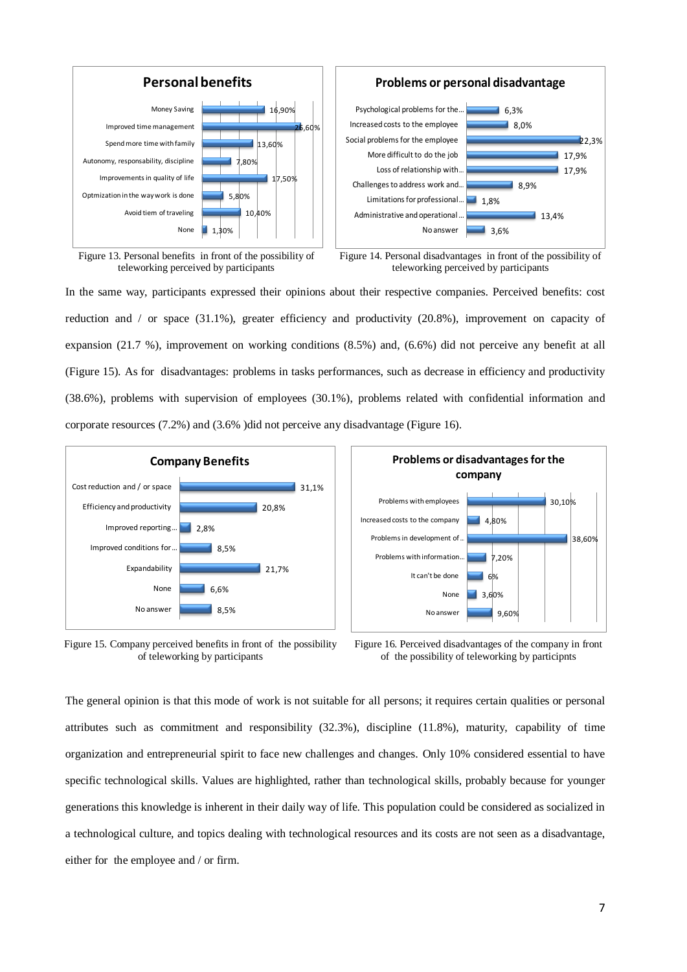

Figure 13. Personal benefits in front of the possibility of teleworking perceived by participants



In the same way, participants expressed their opinions about their respective companies. Perceived benefits: cost reduction and / or space (31.1%), greater efficiency and productivity (20.8%), improvement on capacity of expansion (21.7 %), improvement on working conditions (8.5%) and, (6.6%) did not perceive any benefit at all (Figure 15). As for disadvantages: problems in tasks performances, such as decrease in efficiency and productivity (38.6%), problems with supervision of employees (30.1%), problems related with confidential information and corporate resources (7.2%) and (3.6% )did not perceive any disadvantage (Figure 16).



Figure 15. Company perceived benefits in front of the possibility of teleworking by participants



Figure 16. Perceived disadvantages of the company in front of the possibility of teleworking by participnts

The general opinion is that this mode of work is not suitable for all persons; it requires certain qualities or personal attributes such as commitment and responsibility (32.3%), discipline (11.8%), maturity, capability of time organization and entrepreneurial spirit to face new challenges and changes. Only 10% considered essential to have specific technological skills. Values are highlighted, rather than technological skills, probably because for younger generations this knowledge is inherent in their daily way of life. This population could be considered as socialized in a technological culture, and topics dealing with technological resources and its costs are not seen as a disadvantage, either for the employee and / or firm.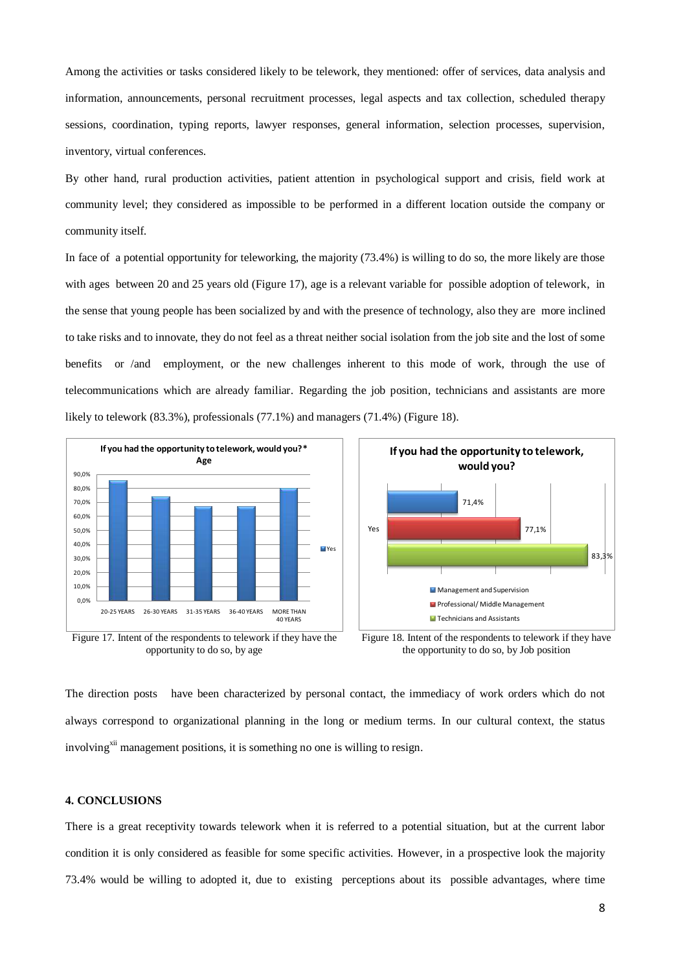Among the activities or tasks considered likely to be telework, they mentioned: offer of services, data analysis and information, announcements, personal recruitment processes, legal aspects and tax collection, scheduled therapy sessions, coordination, typing reports, lawyer responses, general information, selection processes, supervision, inventory, virtual conferences.

By other hand, rural production activities, patient attention in psychological support and crisis, field work at community level; they considered as impossible to be performed in a different location outside the company or community itself.

In face of a potential opportunity for teleworking, the majority (73.4%) is willing to do so, the more likely are those with ages between 20 and 25 years old (Figure 17), age is a relevant variable for possible adoption of telework, in the sense that young people has been socialized by and with the presence of technology, also they are more inclined to take risks and to innovate, they do not feel as a threat neither social isolation from the job site and the lost of some benefits or /and employment, or the new challenges inherent to this mode of work, through the use of telecommunications which are already familiar. Regarding the job position, technicians and assistants are more likely to telework (83.3%), professionals (77.1%) and managers (71.4%) (Figure 18).







Figure 18. Intent of the respondents to telework if they have the opportunity to do so, by Job position

The direction posts have been characterized by personal contact, the immediacy of work orders which do not always correspond to organizational planning in the long or medium terms. In our cultural context, the status involving<sup>xii</sup> management positions, it is something no one is willing to resign.

#### **4. CONCLUSIONS**

There is a great receptivity towards telework when it is referred to a potential situation, but at the current labor condition it is only considered as feasible for some specific activities. However, in a prospective look the majority 73.4% would be willing to adopted it, due to existing perceptions about its possible advantages, where time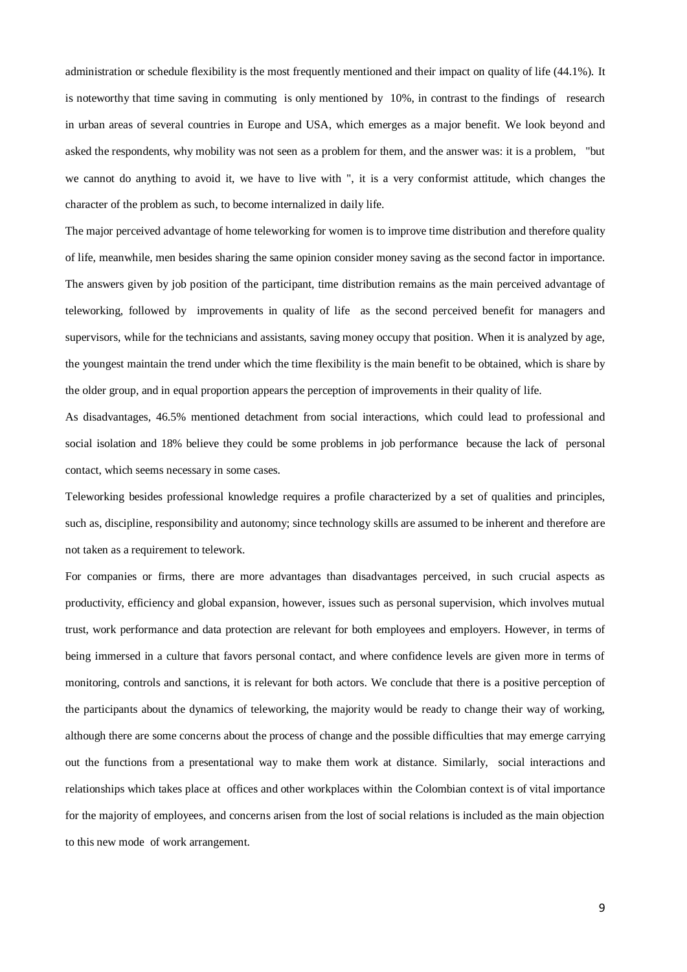administration or schedule flexibility is the most frequently mentioned and their impact on quality of life (44.1%). It is noteworthy that time saving in commuting is only mentioned by 10%, in contrast to the findings of research in urban areas of several countries in Europe and USA, which emerges as a major benefit. We look beyond and asked the respondents, why mobility was not seen as a problem for them, and the answer was: it is a problem, "but we cannot do anything to avoid it, we have to live with ", it is a very conformist attitude, which changes the character of the problem as such, to become internalized in daily life.

The major perceived advantage of home teleworking for women is to improve time distribution and therefore quality of life, meanwhile, men besides sharing the same opinion consider money saving as the second factor in importance. The answers given by job position of the participant, time distribution remains as the main perceived advantage of teleworking, followed by improvements in quality of life as the second perceived benefit for managers and supervisors, while for the technicians and assistants, saving money occupy that position. When it is analyzed by age, the youngest maintain the trend under which the time flexibility is the main benefit to be obtained, which is share by the older group, and in equal proportion appears the perception of improvements in their quality of life.

As disadvantages, 46.5% mentioned detachment from social interactions, which could lead to professional and social isolation and 18% believe they could be some problems in job performance because the lack of personal contact, which seems necessary in some cases.

Teleworking besides professional knowledge requires a profile characterized by a set of qualities and principles, such as, discipline, responsibility and autonomy; since technology skills are assumed to be inherent and therefore are not taken as a requirement to telework.

For companies or firms, there are more advantages than disadvantages perceived, in such crucial aspects as productivity, efficiency and global expansion, however, issues such as personal supervision, which involves mutual trust, work performance and data protection are relevant for both employees and employers. However, in terms of being immersed in a culture that favors personal contact, and where confidence levels are given more in terms of monitoring, controls and sanctions, it is relevant for both actors. We conclude that there is a positive perception of the participants about the dynamics of teleworking, the majority would be ready to change their way of working, although there are some concerns about the process of change and the possible difficulties that may emerge carrying out the functions from a presentational way to make them work at distance. Similarly, social interactions and relationships which takes place at offices and other workplaces within the Colombian context is of vital importance for the majority of employees, and concerns arisen from the lost of social relations is included as the main objection to this new mode of work arrangement.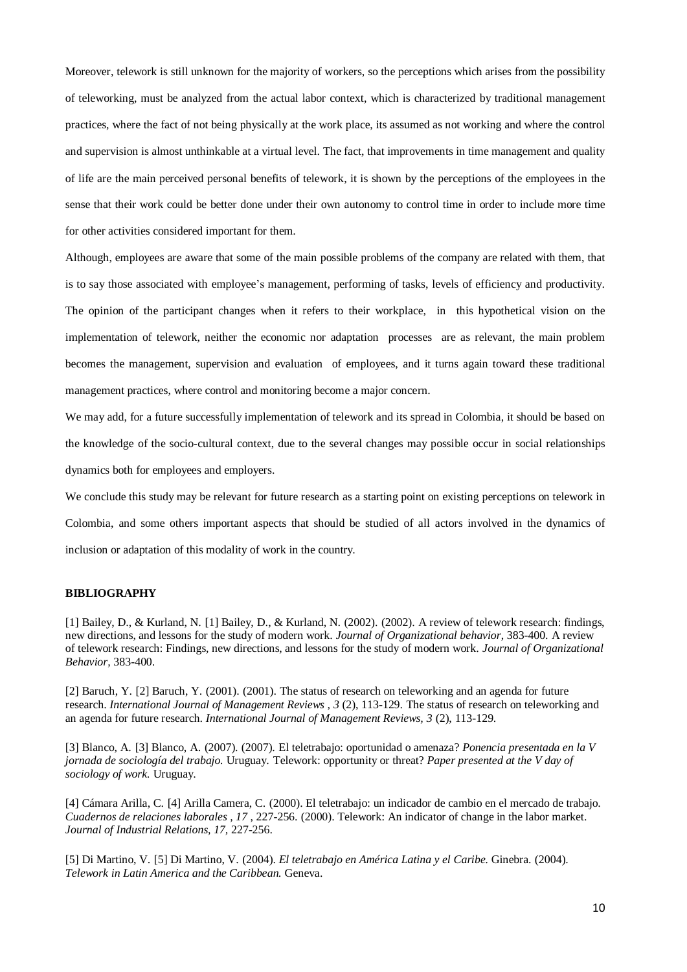Moreover, telework is still unknown for the majority of workers, so the perceptions which arises from the possibility of teleworking, must be analyzed from the actual labor context, which is characterized by traditional management practices, where the fact of not being physically at the work place, its assumed as not working and where the control and supervision is almost unthinkable at a virtual level. The fact, that improvements in time management and quality of life are the main perceived personal benefits of telework, it is shown by the perceptions of the employees in the sense that their work could be better done under their own autonomy to control time in order to include more time for other activities considered important for them.

Although, employees are aware that some of the main possible problems of the company are related with them, that is to say those associated with employee's management, performing of tasks, levels of efficiency and productivity. The opinion of the participant changes when it refers to their workplace, in this hypothetical vision on the implementation of telework, neither the economic nor adaptation processes are as relevant, the main problem becomes the management, supervision and evaluation of employees, and it turns again toward these traditional management practices, where control and monitoring become a major concern.

We may add, for a future successfully implementation of telework and its spread in Colombia, it should be based on the knowledge of the socio-cultural context, due to the several changes may possible occur in social relationships dynamics both for employees and employers.

We conclude this study may be relevant for future research as a starting point on existing perceptions on telework in Colombia, and some others important aspects that should be studied of all actors involved in the dynamics of inclusion or adaptation of this modality of work in the country.

### **BIBLIOGRAPHY**

[1] Bailey, D., & Kurland, N. [1] Bailey, D., & Kurland, N. (2002). (2002). A review of telework research: findings, new directions, and lessons for the study of modern work. *Journal of Organizational behavior*, 383-400. A review of telework research: Findings, new directions, and lessons for the study of modern work. *Journal of Organizational Behavior,* 383-400.

[2] Baruch, Y. [2] Baruch, Y. (2001). (2001). The status of research on teleworking and an agenda for future research. *International Journal of Management Reviews , 3* (2), 113-129. The status of research on teleworking and an agenda for future research. *International Journal of Management Reviews, 3* (2), 113-129.

[3] Blanco, A. [3] Blanco, A. (2007). (2007). El teletrabajo: oportunidad o amenaza? *Ponencia presentada en la V jornada de sociología del trabajo.* Uruguay. Telework: opportunity or threat? *Paper presented at the V day of sociology of work.* Uruguay.

[4] Cámara Arilla, C. [4] Arilla Camera, C. (2000). El teletrabajo: un indicador de cambio en el mercado de trabajo. *Cuadernos de relaciones laborales , 17* , 227-256. (2000). Telework: An indicator of change in the labor market. *Journal of Industrial Relations, 17,* 227-256.

[5] Di Martino, V. [5] Di Martino, V. (2004). *El teletrabajo en América Latina y el Caribe.* Ginebra. (2004). *Telework in Latin America and the Caribbean.* Geneva.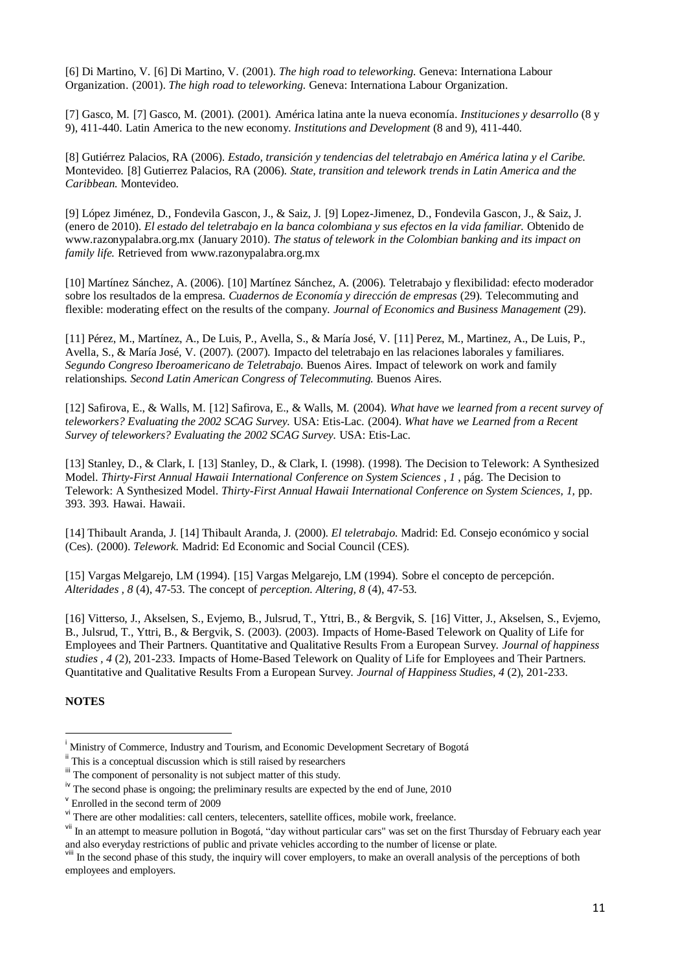[6] Di Martino, V. [6] Di Martino, V. (2001). *The high road to teleworking.* Geneva: Internationa Labour Organization. (2001). *The high road to teleworking.* Geneva: Internationa Labour Organization.

[7] Gasco, M. [7] Gasco, M. (2001). (2001). América latina ante la nueva economía. *Instituciones y desarrollo* (8 y 9), 411-440. Latin America to the new economy. *Institutions and Development* (8 and 9), 411-440.

[8] Gutiérrez Palacios, RA (2006). *Estado, transición y tendencias del teletrabajo en América latina y el Caribe.* Montevideo. [8] Gutierrez Palacios, RA (2006). *State, transition and telework trends in Latin America and the Caribbean.* Montevideo.

[9] López Jiménez, D., Fondevila Gascon, J., & Saiz, J. [9] Lopez-Jimenez, D., Fondevila Gascon, J., & Saiz, J. (enero de 2010). *El estado del teletrabajo en la banca colombiana y sus efectos en la vida familiar.* Obtenido de www.razonypalabra.org.mx (January 2010). *The status of telework in the Colombian banking and its impact on family life.* Retrieved from www.razonypalabra.org.mx

[10] Martínez Sánchez, A. (2006). [10] Martínez Sánchez, A. (2006). Teletrabajo y flexibilidad: efecto moderador sobre los resultados de la empresa. *Cuadernos de Economía y dirección de empresas* (29). Telecommuting and flexible: moderating effect on the results of the company. *Journal of Economics and Business Management* (29).

[11] Pérez, M., Martínez, A., De Luis, P., Avella, S., & María José, V. [11] Perez, M., Martinez, A., De Luis, P., Avella, S., & María José, V. (2007). (2007). Impacto del teletrabajo en las relaciones laborales y familiares. *Segundo Congreso Iberoamericano de Teletrabajo.* Buenos Aires. Impact of telework on work and family relationships. *Second Latin American Congress of Telecommuting.* Buenos Aires.

[12] Safirova, E., & Walls, M. [12] Safirova, E., & Walls, M. (2004). *What have we learned from a recent survey of teleworkers? Evaluating the 2002 SCAG Survey.* USA: Etis-Lac. (2004). *What have we Learned from a Recent Survey of teleworkers? Evaluating the 2002 SCAG Survey.* USA: Etis-Lac.

[13] Stanley, D., & Clark, I. [13] Stanley, D., & Clark, I. (1998). (1998). The Decision to Telework: A Synthesized Model. *Thirty-First Annual Hawaii International Conference on System Sciences* , *1* , pág. The Decision to Telework: A Synthesized Model. *Thirty-First Annual Hawaii International Conference on System Sciences, 1,* pp. 393. 393. Hawai. Hawaii.

[14] Thibault Aranda, J. [14] Thibault Aranda, J. (2000). *El teletrabajo.* Madrid: Ed. Consejo económico y social (Ces). (2000). *Telework.* Madrid: Ed Economic and Social Council (CES).

[15] Vargas Melgarejo, LM (1994). [15] Vargas Melgarejo, LM (1994). Sobre el concepto de percepción. *Alteridades , 8* (4), 47-53. The concept of *perception. Altering, 8* (4), 47-53.

[16] Vitterso, J., Akselsen, S., Evjemo, B., Julsrud, T., Yttri, B., & Bergvik, S. [16] Vitter, J., Akselsen, S., Evjemo, B., Julsrud, T., Yttri, B., & Bergvik, S. (2003). (2003). Impacts of Home-Based Telework on Quality of Life for Employees and Their Partners. Quantitative and Qualitative Results From a European Survey. *Journal of happiness studies , 4* (2), 201-233. Impacts of Home-Based Telework on Quality of Life for Employees and Their Partners. Quantitative and Qualitative Results From a European Survey. *Journal of Happiness Studies, 4* (2), 201-233.

## **NOTES**

1

<sup>i</sup> Ministry of Commerce, Industry and Tourism, and Economic Development Secretary of Bogotá

<sup>&</sup>lt;sup>ii</sup> This is a conceptual discussion which is still raised by researchers

iii The component of personality is not subject matter of this study.

<sup>&</sup>lt;sup>iv</sup> The second phase is ongoing; the preliminary results are expected by the end of June, 2010

v Enrolled in the second term of 2009

vi There are other modalities: call centers, telecenters, satellite offices, mobile work, freelance.

<sup>&</sup>lt;sup>vii</sup> In an attempt to measure pollution in Bogotá, "day without particular cars" was set on the first Thursday of February each year and also everyday restrictions of public and private vehicles according to the number of license or plate.

In the second phase of this study, the inquiry will cover employers, to make an overall analysis of the perceptions of both employees and employers.